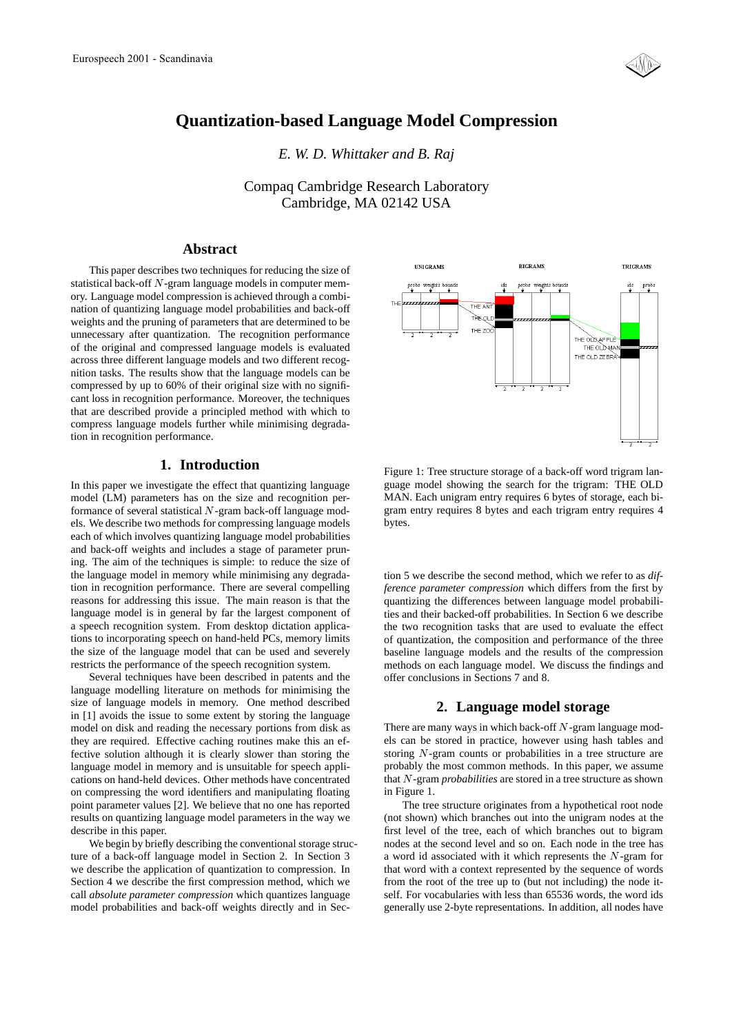

# **Quantization-based Language Model Compression**

*E. W. D. Whittaker and B. Raj*

Compaq Cambridge Research Laboratory Cambridge, MA 02142 USA

# **Abstract**

This paper describes two techniques for reducing the size of statistical back-off <sup>N</sup>-gram language models in computer memory. Language model compression is achieved through a combination of quantizing language model probabilities and back-off weights and the pruning of parameters that are determined to be unnecessary after quantization. The recognition performance of the original and compressed language models is evaluated across three different language models and two different recognition tasks. The results show that the language models can be compressed by up to 60% of their original size with no significant loss in recognition performance. Moreover, the techniques that are described provide a principled method with which to compress language models further while minimising degradation in recognition performance.

## **1. Introduction**

In this paper we investigate the effect that quantizing language model (LM) parameters has on the size and recognition performance of several statistical N-gram back-off language models. We describe two methods for compressing language models each of which involves quantizing language model probabilities and back-off weights and includes a stage of parameter pruning. The aim of the techniques is simple: to reduce the size of the language model in memory while minimising any degradation in recognition performance. There are several compelling reasons for addressing this issue. The main reason is that the language model is in general by far the largest component of a speech recognition system. From desktop dictation applications to incorporating speech on hand-held PCs, memory limits the size of the language model that can be used and severely restricts the performance of the speech recognition system.

Several techniques have been described in patents and the language modelling literature on methods for minimising the size of language models in memory. One method described in [1] avoids the issue to some extent by storing the language model on disk and reading the necessary portions from disk as they are required. Effective caching routines make this an effective solution although it is clearly slower than storing the language model in memory and is unsuitable for speech applications on hand-held devices. Other methods have concentrated on compressing the word identifiers and manipulating floating point parameter values [2]. We believe that no one has reported results on quantizing language model parameters in the way we describe in this paper.

We begin by briefly describing the conventional storage structure of a back-off language model in Section 2. In Section 3 we describe the application of quantization to compression. In Section 4 we describe the first compression method, which we call *absolute parameter compression* which quantizes language model probabilities and back-off weights directly and in Sec-



Figure 1: Tree structure storage of a back-off word trigram language model showing the search for the trigram: THE OLD MAN. Each unigram entry requires 6 bytes of storage, each bigram entry requires 8 bytes and each trigram entry requires 4 bytes.

tion 5 we describe the second method, which we refer to as *difference parameter compression* which differs from the first by quantizing the differences between language model probabilities and their backed-off probabilities. In Section 6 we describe the two recognition tasks that are used to evaluate the effect of quantization, the composition and performance of the three baseline language models and the results of the compression methods on each language model. We discuss the findings and offer conclusions in Sections 7 and 8.

### **2. Language model storage**

There are many ways in which back-off  $N$ -gram language models can be stored in practice, however using hash tables and storing <sup>N</sup>-gram counts or probabilities in a tree structure are probably the most common methods. In this paper, we assume that <sup>N</sup>-gram *probabilities* are stored in a tree structure as shown in Figure 1.

The tree structure originates from a hypothetical root node (not shown) which branches out into the unigram nodes at the first level of the tree, each of which branches out to bigram nodes at the second level and so on. Each node in the tree has a word id associated with it which represents the <sup>N</sup>-gram for that word with a context represented by the sequence of words from the root of the tree up to (but not including) the node itself. For vocabularies with less than 65536 words, the word ids generally use 2-byte representations. In addition, all nodes have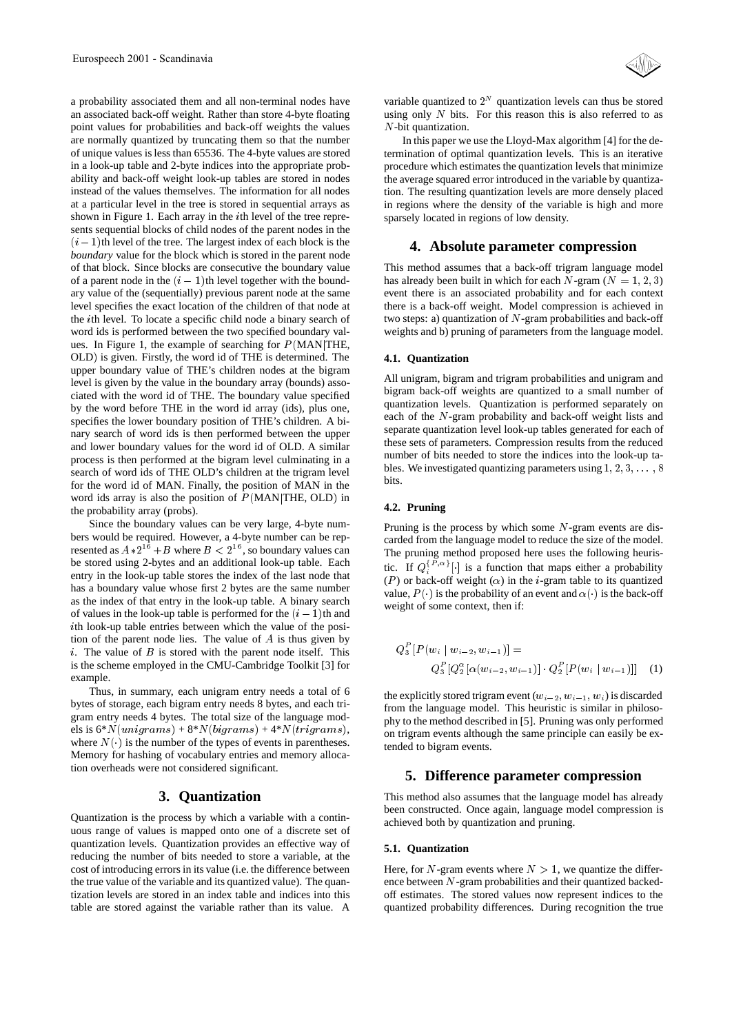a probability associated them and all non-terminal nodes have an associated back-off weight. Rather than store 4-byte floating point values for probabilities and back-off weights the values are normally quantized by truncating them so that the number of unique values is less than 65536. The 4-byte values are stored in a look-up table and 2-byte indices into the appropriate probability and back-off weight look-up tables are stored in nodes instead of the values themselves. The information for all nodes at a particular level in the tree is stored in sequential arrays as shown in Figure 1. Each array in the ith level of the tree represents sequential blocks of child nodes of the parent nodes in the  $(i - 1)$ th level of the tree. The largest index of each block is the *boundary* value for the block which is stored in the parent node of that block. Since blocks are consecutive the boundary value of a parent node in the  $(i - 1)$ th level together with the boundary value of the (sequentially) previous parent node at the same level specifies the exact location of the children of that node at the <sup>i</sup>th level. To locate a specific child node a binary search of word ids is performed between the two specified boundary values. In Figure 1, the example of searching for  $P(MAN)$ THE, OLD) is given. Firstly, the word id of THE is determined. The upper boundary value of THE's children nodes at the bigram level is given by the value in the boundary array (bounds) associated with the word id of THE. The boundary value specified by the word before THE in the word id array (ids), plus one, specifies the lower boundary position of THE's children. A binary search of word ids is then performed between the upper and lower boundary values for the word id of OLD. A similar process is then performed at the bigram level culminating in a search of word ids of THE OLD's children at the trigram level for the word id of MAN. Finally, the position of MAN in the word ids array is also the position of  $P(MAN|THE, OLD)$  in the probability array (probs).

Since the boundary values can be very large, 4-byte numbers would be required. However, a 4-byte number can be represented as  $A*2^{16}+B$  where  $B<2^{16}$ , so boundary values can be stored using 2-bytes and an additional look-up table. Each entry in the look-up table stores the index of the last node that has a boundary value whose first 2 bytes are the same number as the index of that entry in the look-up table. A binary search of values in the look-up table is performed for the  $(i - 1)$ th and ith look-up table entries between which the value of the position of the parent node lies. The value of  $A$  is thus given by i. The value of  $B$  is stored with the parent node itself. This is the scheme employed in the CMU-Cambridge Toolkit [3] for example.

Thus, in summary, each unigram entry needs a total of 6 bytes of storage, each bigram entry needs 8 bytes, and each trigram entry needs 4 bytes. The total size of the language models is  $6*N(unigrams) + 8*N(bigrams) + 4*N(trigrams),$ where  $N(\cdot)$  is the number of the types of events in parentheses. Memory for hashing of vocabulary entries and memory allocation overheads were not considered significant.

### **3. Quantization**

Quantization is the process by which a variable with a continuous range of values is mapped onto one of a discrete set of quantization levels. Quantization provides an effective way of reducing the number of bits needed to store a variable, at the cost of introducing errors in its value (i.e. the difference between the true value of the variable and its quantized value). The quantization levels are stored in an index table and indices into this table are stored against the variable rather than its value. A

variable quantized to  $2^N$  quantization levels can thus be stored using only  $N$  bits. For this reason this is also referred to as N-bit quantization.

In this paper we use the Lloyd-Max algorithm [4] for the determination of optimal quantization levels. This is an iterative procedure which estimates the quantization levels that minimize the average squared error introduced in the variable by quantization. The resulting quantization levels are more densely placed in regions where the density of the variable is high and more sparsely located in regions of low density.

### **4. Absolute parameter compression**

This method assumes that a back-off trigram language model has already been built in which for each  $N$ -gram ( $N = 1, 2, 3$ ) event there is an associated probability and for each context there is a back-off weight. Model compression is achieved in two steps: a) quantization of  $N$ -gram probabilities and back-off weights and b) pruning of parameters from the language model.

#### **4.1. Quantization**

All unigram, bigram and trigram probabilities and unigram and bigram back-off weights are quantized to a small number of quantization levels. Quantization is performed separately on each of the N-gram probability and back-off weight lists and separate quantization level look-up tables generated for each of these sets of parameters. Compression results from the reduced number of bits needed to store the indices into the look-up tables. We investigated quantizing parameters using  $1, 2, 3, \ldots, 8$ bits.

### **4.2. Pruning**

Pruning is the process by which some  $N$ -gram events are discarded from the language model to reduce the size of the model. The pruning method proposed here uses the following heuristic. If  $Q_i^{\{P,\alpha\}}[\cdot]$  is a function that maps either a probability (P) or back-off weight ( $\alpha$ ) in the *i*-gram table to its quantized value,  $P(\cdot)$  is the probability of an event and  $\alpha(\cdot)$  is the back-off weight of some context, then if:

$$
Q_3^P[P(w_i | w_{i-2}, w_{i-1})] =
$$
  
\n
$$
Q_3^P[Q_2^{\alpha}[\alpha(w_{i-2}, w_{i-1})] \cdot Q_2^P[P(w_i | w_{i-1})]]
$$
 (1)

the explicitly stored trigram event  $(w_{i-2}, w_{i-1}, w_i)$  is discarded from the language model. This heuristic is similar in philosophy to the method described in [5]. Pruning was only performed on trigram events although the same principle can easily be extended to bigram events.

### **5. Difference parameter compression**

This method also assumes that the language model has already been constructed. Once again, language model compression is achieved both by quantization and pruning.

#### **5.1. Quantization**

Here, for N-gram events where  $N > 1$ , we quantize the difference between <sup>N</sup>-gram probabilities and their quantized backedoff estimates. The stored values now represent indices to the quantized probability differences. During recognition the true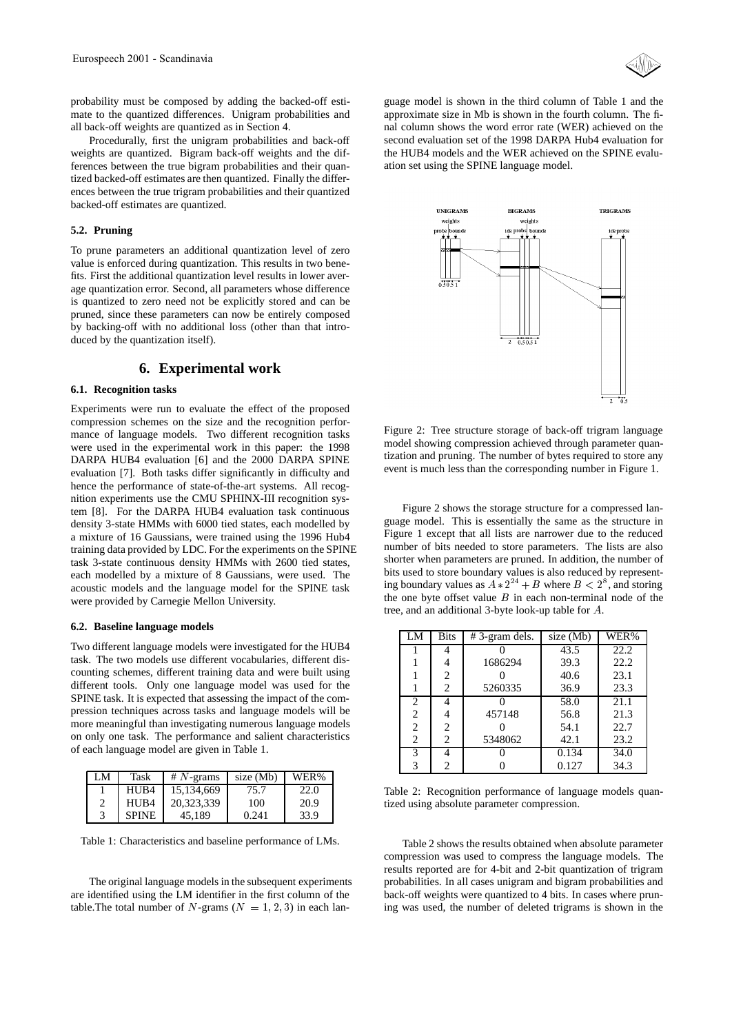

probability must be composed by adding the backed-off estimate to the quantized differences. Unigram probabilities and all back-off weights are quantized as in Section 4.

Procedurally, first the unigram probabilities and back-off weights are quantized. Bigram back-off weights and the differences between the true bigram probabilities and their quantized backed-off estimates are then quantized. Finally the differences between the true trigram probabilities and their quantized backed-off estimates are quantized.

#### **5.2. Pruning**

To prune parameters an additional quantization level of zero value is enforced during quantization. This results in two benefits. First the additional quantization level results in lower average quantization error. Second, all parameters whose difference is quantized to zero need not be explicitly stored and can be pruned, since these parameters can now be entirely composed by backing-off with no additional loss (other than that introduced by the quantization itself).

# **6. Experimental work**

#### **6.1. Recognition tasks**

Experiments were run to evaluate the effect of the proposed compression schemes on the size and the recognition performance of language models. Two different recognition tasks were used in the experimental work in this paper: the 1998 DARPA HUB4 evaluation [6] and the 2000 DARPA SPINE evaluation [7]. Both tasks differ significantly in difficulty and hence the performance of state-of-the-art systems. All recognition experiments use the CMU SPHINX-III recognition system [8]. For the DARPA HUB4 evaluation task continuous density 3-state HMMs with 6000 tied states, each modelled by a mixture of 16 Gaussians, were trained using the 1996 Hub4 training data provided by LDC. For the experiments on the SPINE task 3-state continuous density HMMs with 2600 tied states, each modelled by a mixture of 8 Gaussians, were used. The acoustic models and the language model for the SPINE task were provided by Carnegie Mellon University.

### **6.2. Baseline language models**

Two different language models were investigated for the HUB4 task. The two models use different vocabularies, different discounting schemes, different training data and were built using different tools. Only one language model was used for the SPINE task. It is expected that assessing the impact of the compression techniques across tasks and language models will be more meaningful than investigating numerous language models on only one task. The performance and salient characteristics of each language model are given in Table 1.

| LM | Task         | $#N$ -grams | size (Mb) | WER% |
|----|--------------|-------------|-----------|------|
|    | HUB4         | 15,134,669  | 75.7      | 22.0 |
|    | HUB4         | 20,323,339  | 100       | 20.9 |
|    | <b>SPINE</b> | 45.189      | 0.241     | 33.9 |

Table 1: Characteristics and baseline performance of LMs.

The original language models in the subsequent experiments are identified using the LM identifier in the first column of the table. The total number of N-grams ( $N = 1, 2, 3$ ) in each language model is shown in the third column of Table 1 and the approximate size in Mb is shown in the fourth column. The final column shows the word error rate (WER) achieved on the second evaluation set of the 1998 DARPA Hub4 evaluation for the HUB4 models and the WER achieved on the SPINE evaluation set using the SPINE language model.



Figure 2: Tree structure storage of back-off trigram language model showing compression achieved through parameter quantization and pruning. The number of bytes required to store any event is much less than the corresponding number in Figure 1.

Figure 2 shows the storage structure for a compressed language model. This is essentially the same as the structure in Figure 1 except that all lists are narrower due to the reduced number of bits needed to store parameters. The lists are also shorter when parameters are pruned. In addition, the number of bits used to store boundary values is also reduced by representing boundary values as  $A * 2^{24} + B$  where  $B < 2^8$ , and storing the one byte offset value  $B$  in each non-terminal node of the tree, and an additional 3-byte look-up table for A.

| LM             | <b>Bits</b>    | $#3$ -gram dels. | size (Mb) | WER% |
|----------------|----------------|------------------|-----------|------|
|                |                |                  | 43.5      | 22.2 |
|                |                | 1686294          | 39.3      | 22.2 |
|                | 2              |                  | 40.6      | 23.1 |
|                | 2              | 5260335          | 36.9      | 23.3 |
| $\overline{c}$ | 4              |                  | 58.0      | 21.1 |
| $\overline{c}$ | 4              | 457148           | 56.8      | 21.3 |
| 2              | 2              |                  | 54.1      | 22.7 |
| $\overline{c}$ | $\overline{c}$ | 5348062          | 42.1      | 23.2 |
| 3              | 4              |                  | 0.134     | 34.0 |
|                | 2              |                  | 0.127     | 34.3 |

Table 2: Recognition performance of language models quantized using absolute parameter compression.

Table 2 shows the results obtained when absolute parameter compression was used to compress the language models. The results reported are for 4-bit and 2-bit quantization of trigram probabilities. In all cases unigram and bigram probabilities and back-off weights were quantized to 4 bits. In cases where pruning was used, the number of deleted trigrams is shown in the